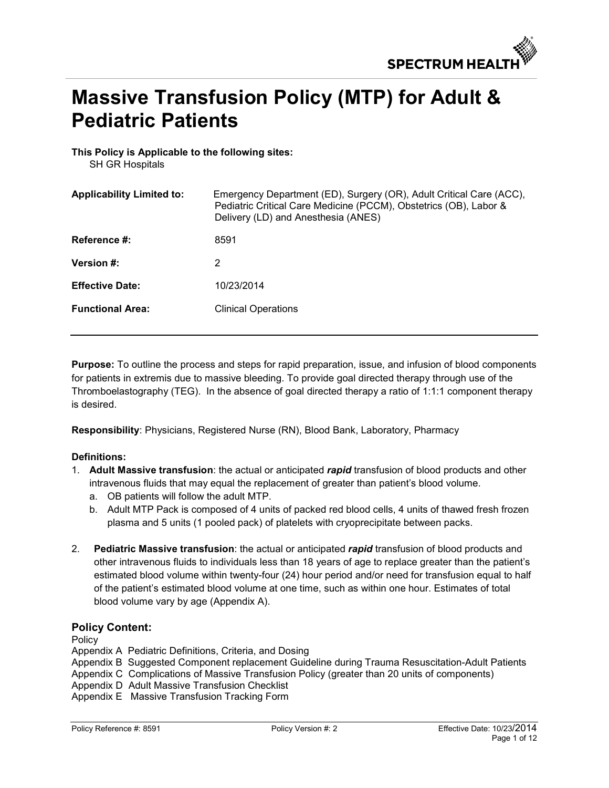# **Massive Transfusion Policy (MTP) for Adult & Pediatric Patients**

**This Policy is Applicable to the following sites:** 

SH GR Hospitals

| <b>Applicability Limited to:</b> | Emergency Department (ED), Surgery (OR), Adult Critical Care (ACC),<br>Pediatric Critical Care Medicine (PCCM), Obstetrics (OB), Labor &<br>Delivery (LD) and Anesthesia (ANES) |
|----------------------------------|---------------------------------------------------------------------------------------------------------------------------------------------------------------------------------|
| <b>Reference #:</b>              | 8591                                                                                                                                                                            |
| <b>Version #:</b>                | 2                                                                                                                                                                               |
| <b>Effective Date:</b>           | 10/23/2014                                                                                                                                                                      |
| <b>Functional Area:</b>          | <b>Clinical Operations</b>                                                                                                                                                      |

**Purpose:** To outline the process and steps for rapid preparation, issue, and infusion of blood components for patients in extremis due to massive bleeding. To provide goal directed therapy through use of the Thromboelastography (TEG). In the absence of goal directed therapy a ratio of 1:1:1 component therapy is desired.

**Responsibility**: Physicians, Registered Nurse (RN), Blood Bank, Laboratory, Pharmacy

## **Definitions:**

- 1. **Adult Massive transfusion**: the actual or anticipated *rapid* transfusion of blood products and other intravenous fluids that may equal the replacement of greater than patient's blood volume.
	- a. OB patients will follow the adult MTP.
	- b. Adult MTP Pack is composed of 4 units of packed red blood cells, 4 units of thawed fresh frozen plasma and 5 units (1 pooled pack) of platelets with cryoprecipitate between packs.
- 2. **Pediatric Massive transfusion**: the actual or anticipated *rapid* transfusion of blood products and other intravenous fluids to individuals less than 18 years of age to replace greater than the patient's estimated blood volume within twenty-four (24) hour period and/or need for transfusion equal to half of the patient's estimated blood volume at one time, such as within one hour. Estimates of total blood volume vary by age (Appendix A).

## **Policy Content:**

Policy

Appendix A Pediatric Definitions, Criteria, and Dosing

Appendix B Suggested Component replacement Guideline during Trauma Resuscitation-Adult Patients Appendix C Complications of Massive Transfusion Policy (greater than 20 units of components) Appendix D Adult Massive Transfusion Checklist

Appendix E Massive Transfusion Tracking Form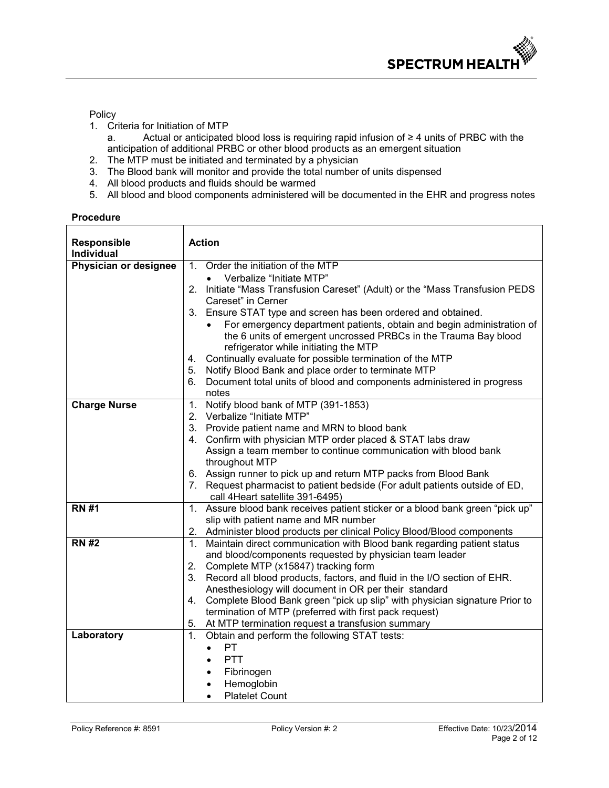Policy

- 1. Criteria for Initiation of MTP
	- a. Actual or anticipated blood loss is requiring rapid infusion of ≥ 4 units of PRBC with the anticipation of additional PRBC or other blood products as an emergent situation
- 2. The MTP must be initiated and terminated by a physician
- 3. The Blood bank will monitor and provide the total number of units dispensed
- 4. All blood products and fluids should be warmed
- 5. All blood and blood components administered will be documented in the EHR and progress notes

| <b>Procedure</b> |
|------------------|
|------------------|

| <b>Responsible</b>    | <b>Action</b>                                                                                                                                                    |
|-----------------------|------------------------------------------------------------------------------------------------------------------------------------------------------------------|
| <b>Individual</b>     |                                                                                                                                                                  |
| Physician or designee | Order the initiation of the MTP<br>1 <sub>1</sub>                                                                                                                |
|                       | Verbalize "Initiate MTP"                                                                                                                                         |
|                       | Initiate "Mass Transfusion Careset" (Adult) or the "Mass Transfusion PEDS<br>2.                                                                                  |
|                       | Careset" in Cerner                                                                                                                                               |
|                       | Ensure STAT type and screen has been ordered and obtained.<br>3.                                                                                                 |
|                       | For emergency department patients, obtain and begin administration of                                                                                            |
|                       | the 6 units of emergent uncrossed PRBCs in the Trauma Bay blood                                                                                                  |
|                       | refrigerator while initiating the MTP                                                                                                                            |
|                       | Continually evaluate for possible termination of the MTP<br>4.                                                                                                   |
|                       | Notify Blood Bank and place order to terminate MTP<br>5.                                                                                                         |
|                       | Document total units of blood and components administered in progress<br>6.                                                                                      |
|                       | notes                                                                                                                                                            |
| <b>Charge Nurse</b>   | Notify blood bank of MTP (391-1853)<br>1.                                                                                                                        |
|                       | Verbalize "Initiate MTP"<br>2.                                                                                                                                   |
|                       | 3.<br>Provide patient name and MRN to blood bank                                                                                                                 |
|                       | Confirm with physician MTP order placed & STAT labs draw<br>4.                                                                                                   |
|                       | Assign a team member to continue communication with blood bank                                                                                                   |
|                       | throughout MTP                                                                                                                                                   |
|                       | 6. Assign runner to pick up and return MTP packs from Blood Bank                                                                                                 |
|                       | Request pharmacist to patient bedside (For adult patients outside of ED,<br>7.                                                                                   |
|                       | call 4Heart satellite 391-6495)                                                                                                                                  |
| <b>RN #1</b>          | Assure blood bank receives patient sticker or a blood bank green "pick up"<br>1.                                                                                 |
|                       | slip with patient name and MR number                                                                                                                             |
| <b>RN #2</b>          | 2. Administer blood products per clinical Policy Blood/Blood components<br>Maintain direct communication with Blood bank regarding patient status<br>$1_{\cdot}$ |
|                       | and blood/components requested by physician team leader                                                                                                          |
|                       | Complete MTP (x15847) tracking form<br>2.                                                                                                                        |
|                       | 3.<br>Record all blood products, factors, and fluid in the I/O section of EHR.                                                                                   |
|                       | Anesthesiology will document in OR per their standard                                                                                                            |
|                       | Complete Blood Bank green "pick up slip" with physician signature Prior to<br>4.                                                                                 |
|                       | termination of MTP (preferred with first pack request)                                                                                                           |
|                       | At MTP termination request a transfusion summary<br>5.                                                                                                           |
| Laboratory            | Obtain and perform the following STAT tests:<br>1.                                                                                                               |
|                       | PT<br>$\bullet$                                                                                                                                                  |
|                       | <b>PTT</b>                                                                                                                                                       |
|                       | Fibrinogen<br>$\bullet$                                                                                                                                          |
|                       | Hemoglobin                                                                                                                                                       |
|                       | <b>Platelet Count</b>                                                                                                                                            |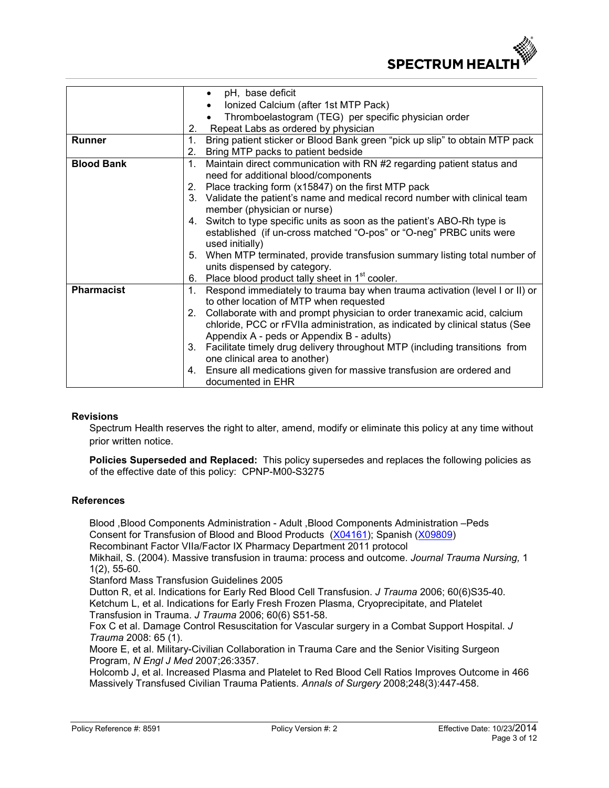

|                   | pH, base deficit<br>٠                                                                         |
|-------------------|-----------------------------------------------------------------------------------------------|
|                   | Ionized Calcium (after 1st MTP Pack)                                                          |
|                   | Thromboelastogram (TEG) per specific physician order                                          |
|                   | Repeat Labs as ordered by physician<br>2.                                                     |
| <b>Runner</b>     | 1.<br>Bring patient sticker or Blood Bank green "pick up slip" to obtain MTP pack             |
|                   | Bring MTP packs to patient bedside<br>2.                                                      |
| <b>Blood Bank</b> | 1.<br>Maintain direct communication with RN #2 regarding patient status and                   |
|                   | need for additional blood/components                                                          |
|                   |                                                                                               |
|                   | Place tracking form (x15847) on the first MTP pack<br>2.                                      |
|                   | Validate the patient's name and medical record number with clinical team<br>3.                |
|                   | member (physician or nurse)                                                                   |
|                   | 4. Switch to type specific units as soon as the patient's ABO-Rh type is                      |
|                   | established (if un-cross matched "O-pos" or "O-neg" PRBC units were                           |
|                   | used initially)                                                                               |
|                   | 5. When MTP terminated, provide transfusion summary listing total number of                   |
|                   | units dispensed by category.                                                                  |
|                   | Place blood product tally sheet in 1 <sup>st</sup> cooler.<br>6.                              |
| <b>Pharmacist</b> | Respond immediately to trauma bay when trauma activation (level I or II) or<br>1 <sub>1</sub> |
|                   | to other location of MTP when requested                                                       |
|                   | Collaborate with and prompt physician to order tranexamic acid, calcium<br>2.                 |
|                   | chloride, PCC or rFVIIa administration, as indicated by clinical status (See                  |
|                   | Appendix A - peds or Appendix B - adults)                                                     |
|                   | Facilitate timely drug delivery throughout MTP (including transitions from<br>3.              |
|                   | one clinical area to another)                                                                 |
|                   | Ensure all medications given for massive transfusion are ordered and<br>4.                    |
|                   | documented in EHR                                                                             |

#### **Revisions**

Spectrum Health reserves the right to alter, amend, modify or eliminate this policy at any time without prior written notice.

**Policies Superseded and Replaced:** This policy supersedes and replaces the following policies as of the effective date of this policy: CPNP-M00-S3275

#### **References**

Blood ,Blood Components Administration - Adult ,Blood Components Administration –Peds Consent for Transfusion of Blood and Blood Products ([X04161\)](https://insite.spectrum-health.org/initiatives/Document-Library/Patient%20Medical%20Record/x04161.pdf); Spanish ([X09809\)](https://insite.spectrum-health.org/initiatives/Document-Library/Patient%20Medical%20Record/x09809.pdf)

Recombinant Factor VIIa/Factor IX Pharmacy Department 2011 protocol

Mikhail, S. (2004). Massive transfusion in trauma: process and outcome. *Journal Trauma Nursing,* 1 1(2), 55-60.

Stanford Mass Transfusion Guidelines 2005

Dutton R, et al. Indications for Early Red Blood Cell Transfusion. *J Trauma* 2006; 60(6)S35-40. Ketchum L, et al. Indications for Early Fresh Frozen Plasma, Cryoprecipitate, and Platelet Transfusion in Trauma. *J Trauma* 2006; 60(6) S51-58.

Fox C et al. Damage Control Resuscitation for Vascular surgery in a Combat Support Hospital. *J Trauma* 2008: 65 (1).

Moore E, et al. Military-Civilian Collaboration in Trauma Care and the Senior Visiting Surgeon Program, *N Engl J Med* 2007;26:3357.

Holcomb J, et al. Increased Plasma and Platelet to Red Blood Cell Ratios Improves Outcome in 466 Massively Transfused Civilian Trauma Patients. *Annals of Surgery* 2008;248(3):447-458.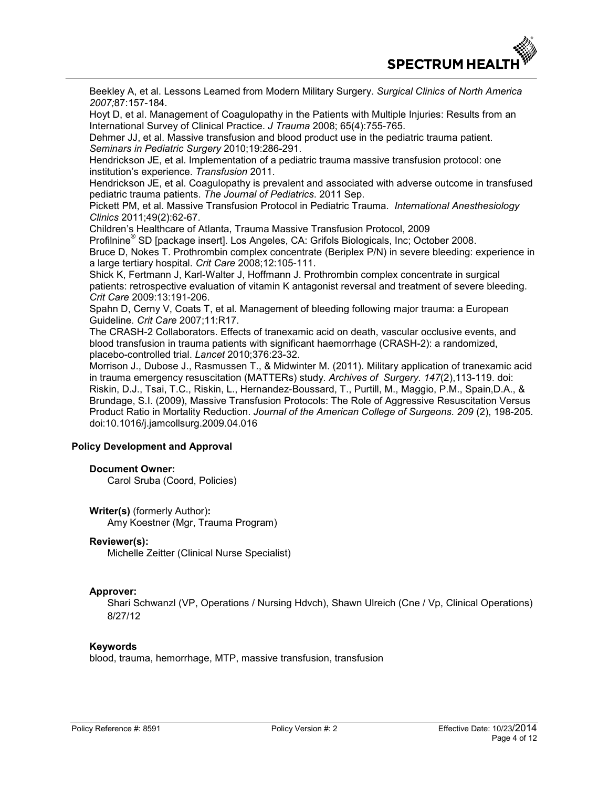

Beekley A, et al. Lessons Learned from Modern Military Surgery. *Surgical Clinics of North America 2007;*87:157-184.

Hoyt D, et al. Management of Coagulopathy in the Patients with Multiple Injuries: Results from an International Survey of Clinical Practice. *J Trauma* 2008; 65(4):755-765.

Dehmer JJ, et al. Massive transfusion and blood product use in the pediatric trauma patient. *Seminars in Pediatric Surgery* 2010;19:286-291.

Hendrickson JE, et al. Implementation of a pediatric trauma massive transfusion protocol: one institution's experience. *Transfusion* 2011.

Hendrickson JE, et al. Coagulopathy is prevalent and associated with adverse outcome in transfused pediatric trauma patients. *The Journal of Pediatrics*. 2011 Sep.

Pickett PM, et al. Massive Transfusion Protocol in Pediatric Trauma. *International Anesthesiology Clinics* 2011;49(2):62-67.

Children's Healthcare of Atlanta, Trauma Massive Transfusion Protocol, 2009

Profilnine<sup>®</sup> SD [package insert]. Los Angeles, CA: Grifols Biologicals, Inc; October 2008. Bruce D, Nokes T. Prothrombin complex concentrate (Beriplex P/N) in severe bleeding: experience in a large tertiary hospital. *Crit Care* 2008;12:105-111.

Shick K, Fertmann J, Karl-Walter J, Hoffmann J. Prothrombin complex concentrate in surgical patients: retrospective evaluation of vitamin K antagonist reversal and treatment of severe bleeding. *Crit Care* 2009:13:191-206.

Spahn D, Cerny V, Coats T, et al. Management of bleeding following major trauma: a European Guideline. *Crit Care* 2007;11:R17.

The CRASH-2 Collaborators. Effects of tranexamic acid on death, vascular occlusive events, and blood transfusion in trauma patients with significant haemorrhage (CRASH-2): a randomized, placebo-controlled trial. *Lancet* 2010;376:23-32.

Morrison J., Dubose J., Rasmussen T., & Midwinter M. (2011). Military application of tranexamic acid in trauma emergency resuscitation (MATTERs) study. *Archives of Surgery. 147*(2),113-119. doi: Riskin, D.J., Tsai, T.C., Riskin, L., Hernandez-Boussard, T., Purtill, M., Maggio, P.M., Spain,D.A., & Brundage, S.I. (2009), Massive Transfusion Protocols: The Role of Aggressive Resuscitation Versus Product Ratio in Mortality Reduction. *Journal of the American College of Surgeons. 209* (2), 198-205. doi:10.1016/j.jamcollsurg.2009.04.016

## **Policy Development and Approval**

#### **Document Owner:**

Carol Sruba (Coord, Policies)

**Writer(s)** (formerly Author)**:**  Amy Koestner (Mgr, Trauma Program)

#### **Reviewer(s):**

Michelle Zeitter (Clinical Nurse Specialist)

#### **Approver:**

Shari Schwanzl (VP, Operations / Nursing Hdvch), Shawn Ulreich (Cne / Vp, Clinical Operations) 8/27/12

#### **Keywords**

blood, trauma, hemorrhage, MTP, massive transfusion, transfusion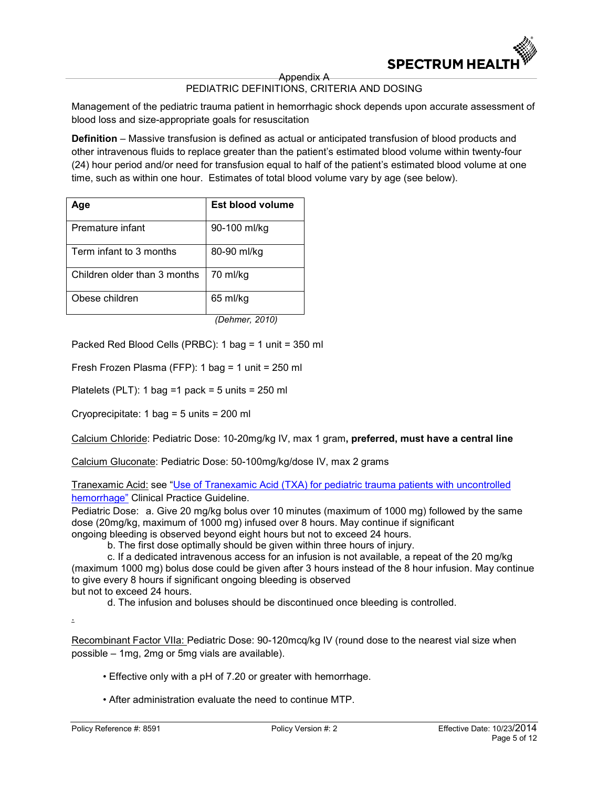

Appendix A

### PEDIATRIC DEFINITIONS, CRITERIA AND DOSING

Management of the pediatric trauma patient in hemorrhagic shock depends upon accurate assessment of blood loss and size-appropriate goals for resuscitation

**Definition** – Massive transfusion is defined as actual or anticipated transfusion of blood products and other intravenous fluids to replace greater than the patient's estimated blood volume within twenty-four (24) hour period and/or need for transfusion equal to half of the patient's estimated blood volume at one time, such as within one hour. Estimates of total blood volume vary by age (see below).

| Aqe                          | Est blood volume |
|------------------------------|------------------|
| Premature infant             | 90-100 ml/kg     |
| Term infant to 3 months      | 80-90 ml/kg      |
| Children older than 3 months | 70 ml/kg         |
| Obese children               | 65 ml/kg         |
|                              | (Dehmer, 2010)   |

Packed Red Blood Cells (PRBC): 1 bag = 1 unit = 350 ml

Fresh Frozen Plasma (FFP): 1 bag = 1 unit = 250 ml

Platelets (PLT): 1 bag =1 pack =  $5 \text{ units} = 250 \text{ ml}$ 

Cryoprecipitate: 1 bag = 5 units = 200 ml

Calcium Chloride: Pediatric Dose: 10-20mg/kg IV, max 1 gram**, preferred, must have a central line** 

Calcium Gluconate: Pediatric Dose: 50-100mg/kg/dose IV, max 2 grams

Tranexamic Acid: see ["Use of Tranexamic Acid \(TXA\) for pediatric trauma patients with uncontrolled](https://insite.spectrum-health.org/departments/Trauma-Services/Pediatric%20Trauma/Tranexamic%20Acid%20TXA%20Pediatric%20Trauma%20Guideline.pdf)  [hemorrhage"](https://insite.spectrum-health.org/departments/Trauma-Services/Pediatric%20Trauma/Tranexamic%20Acid%20TXA%20Pediatric%20Trauma%20Guideline.pdf) Clinical Practice Guideline.

Pediatric Dose: a. Give 20 mg/kg bolus over 10 minutes (maximum of 1000 mg) followed by the same dose (20mg/kg, maximum of 1000 mg) infused over 8 hours. May continue if significant ongoing bleeding is observed beyond eight hours but not to exceed 24 hours.

b. The first dose optimally should be given within three hours of injury.

c. If a dedicated intravenous access for an infusion is not available, a repeat of the 20 mg/kg (maximum 1000 mg) bolus dose could be given after 3 hours instead of the 8 hour infusion. May continue to give every 8 hours if significant ongoing bleeding is observed but not to exceed 24 hours.

d. The infusion and boluses should be discontinued once bleeding is controlled.

.

Recombinant Factor VIIa: Pediatric Dose: 90-120mcq/kg IV (round dose to the nearest vial size when possible – 1mg, 2mg or 5mg vials are available).

• Effective only with a pH of 7.20 or greater with hemorrhage.

• After administration evaluate the need to continue MTP.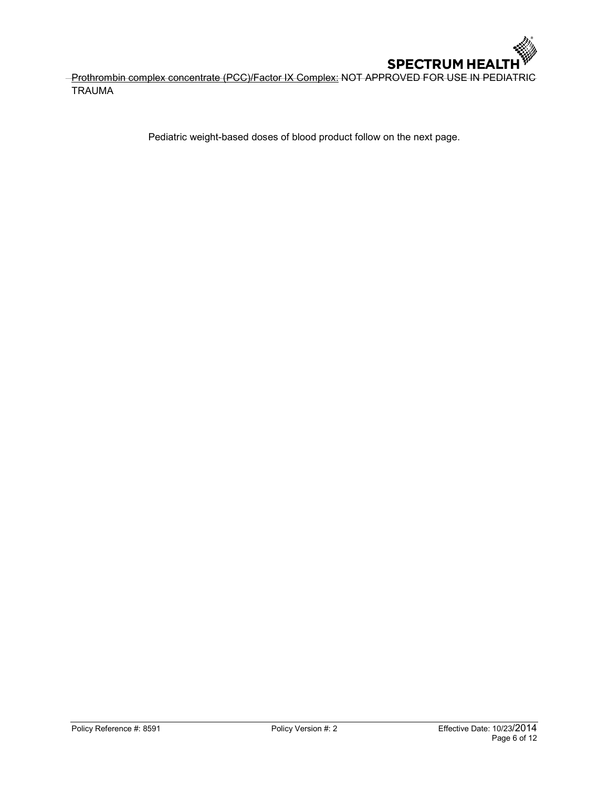

-Prothrombin complex concentrate (PCC)/Factor IX Complex: NOT APPROVED FOR USE IN PEDIATRIC TRAUMA

Pediatric weight-based doses of blood product follow on the next page.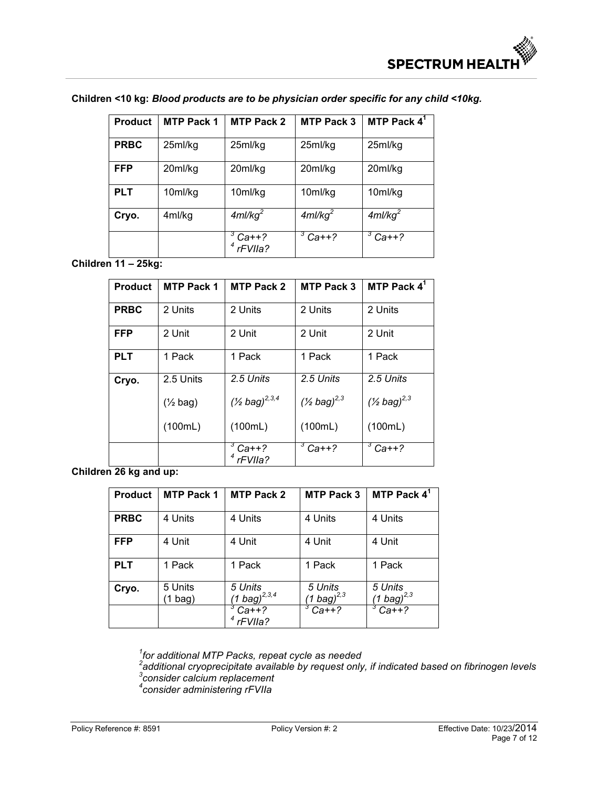| <b>Product</b> | <b>MTP Pack 1</b> | <b>MTP Pack 2</b>      | <b>MTP Pack 3</b>      | MTP Pack $4^1$         |
|----------------|-------------------|------------------------|------------------------|------------------------|
| <b>PRBC</b>    | 25ml/kg           | 25ml/kg                | 25ml/kg                | 25ml/kg                |
| <b>FFP</b>     | 20ml/kg           | 20ml/kg                | 20ml/kg                | 20ml/kg                |
| <b>PLT</b>     | 10ml/kg           | 10ml/kg                | 10ml/kg                | 10ml/kg                |
| Cryo.          | 4ml/kg            | $4$ ml/kg <sup>2</sup> | $4$ ml/kg <sup>2</sup> | $4$ ml/kg <sup>2</sup> |
|                |                   | $Ca++?$<br>rFVIIa?     | З<br>$Ca++?$           | 3<br>$Ca++?$           |

## **Children <10 kg:** *Blood products are to be physician order specific for any child <10kg.*

**Children 11 – 25kg:** 

| <b>Product</b> | <b>MTP Pack 1</b>   | <b>MTP Pack 2</b>        | <b>MTP Pack 3</b>           | MTP Pack $4^1$              |
|----------------|---------------------|--------------------------|-----------------------------|-----------------------------|
| <b>PRBC</b>    | 2 Units             | 2 Units                  | 2 Units                     | 2 Units                     |
| <b>FFP</b>     | 2 Unit              | 2 Unit                   | 2 Unit                      | 2 Unit                      |
| <b>PLT</b>     | 1 Pack              | 1 Pack                   | 1 Pack                      | 1 Pack                      |
| Cryo.          | 2.5 Units           | 2.5 Units                | 2.5 Units                   | 2.5 Units                   |
|                | $(\frac{1}{2}$ bag) | $($ 1/2 bag $)^{2,3,4}$  | $($ 1/2 bag) <sup>2,3</sup> | $($ 1/2 bag) <sup>2,3</sup> |
|                | (100mL)             | (100mL)                  | (100mL)                     | (100mL)                     |
|                |                     | $3$ Ca++?<br>$4$ rFVIIa? | $3$ Ca++?                   | $3Cat+?$                    |

**Children 26 kg and up:** 

| <b>Product</b> | <b>MTP Pack 1</b>    | <b>MTP Pack 2</b>             | <b>MTP Pack 3</b>           | MTP Pack $4^1$                     |
|----------------|----------------------|-------------------------------|-----------------------------|------------------------------------|
| <b>PRBC</b>    | 4 Units              | 4 Units                       | 4 Units                     | 4 Units                            |
| <b>FFP</b>     | 4 Unit               | 4 Unit                        | 4 Unit                      | 4 Unit                             |
| <b>PLT</b>     | 1 Pack               | 1 Pack                        | 1 Pack                      | 1 Pack                             |
| Cryo.          | 5 Units<br>$(1$ bag) | 5 Units<br>(1 bag) $^{2,3,4}$ | 5 Units<br>(1 bag) $^{2,3}$ | 5 Units<br>$(1 \text{ bag})^{2,3}$ |
|                |                      | $Ca++?$<br>rFVIIa?            | $Ca++?$                     | $Ca++?$                            |

<sup>1</sup>for additional MTP Packs, repeat cycle as needed<br><sup>2</sup>additional cryoprecipitate available by request only, if indicated based on fibrinogen levels<br><sup>3</sup>consider calcium replacement<br><sup>4</sup>consider administering rFVIIa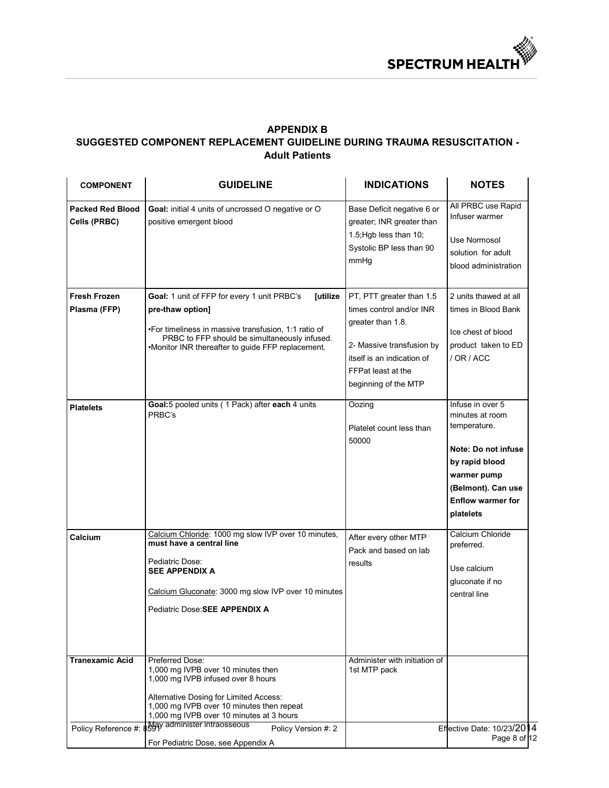

## **APPENDIX B SUGGESTED COMPONENT REPLACEMENT GUIDELINE DURING TRAUMA RESUSCITATION - Adult Patients**

| <b>COMPONENT</b>                        | <b>GUIDELINE</b>                                                                                                                                                                                                                                                                                                                                        | <b>INDICATIONS</b>                                                                                                                                                                 | <b>NOTES</b>                                                                                                                                                               |
|-----------------------------------------|---------------------------------------------------------------------------------------------------------------------------------------------------------------------------------------------------------------------------------------------------------------------------------------------------------------------------------------------------------|------------------------------------------------------------------------------------------------------------------------------------------------------------------------------------|----------------------------------------------------------------------------------------------------------------------------------------------------------------------------|
| <b>Packed Red Blood</b><br>Cells (PRBC) | Goal: initial 4 units of uncrossed O negative or O<br>positive emergent blood                                                                                                                                                                                                                                                                           | Base Deficit negative 6 or<br>greater; INR greater than<br>1.5; Hgb less than 10;<br>Systolic BP less than 90<br>mmHg                                                              | All PRBC use Rapid<br>Infuser warmer<br>Use Normosol<br>solution for adult<br>blood administration                                                                         |
| <b>Fresh Frozen</b><br>Plasma (FFP)     | Goal: 1 unit of FFP for every 1 unit PRBC's<br>[utilize<br>pre-thaw option]<br>. For timeliness in massive transfusion, 1:1 ratio of<br>PRBC to FFP should be simultaneously infused.<br>•Monitor INR thereafter to guide FFP replacement.                                                                                                              | PT, PTT greater than 1.5<br>times control and/or INR<br>greater than 1.8.<br>2- Massive transfusion by<br>itself is an indication of<br>FFPat least at the<br>beginning of the MTP | 2 units thawed at all<br>times in Blood Bank<br>Ice chest of blood<br>product taken to ED<br>/ OR / ACC                                                                    |
| <b>Platelets</b>                        | Goal:5 pooled units (1 Pack) after each 4 units<br>PRBC's                                                                                                                                                                                                                                                                                               | Oozing<br>Platelet count less than<br>50000                                                                                                                                        | Infuse in over 5<br>minutes at room<br>temperature.<br>Note: Do not infuse<br>by rapid blood<br>warmer pump<br>(Belmont). Can use<br><b>Enflow warmer for</b><br>platelets |
| Calcium                                 | Calcium Chloride: 1000 mg slow IVP over 10 minutes,<br>must have a central line<br>Pediatric Dose:<br><b>SEE APPENDIX A</b><br>Calcium Gluconate: 3000 mg slow IVP over 10 minutes<br>Pediatric Dose: <b>SEE APPENDIX A</b>                                                                                                                             | After every other MTP<br>Pack and based on lab<br>results                                                                                                                          | Calcium Chloride<br>preferred.<br>Use calcium<br>gluconate if no<br>central line                                                                                           |
| <b>Tranexamic Acid</b>                  | <b>Preferred Dose:</b><br>1,000 mg IVPB over 10 minutes then<br>1,000 mg IVPB infused over 8 hours<br>Alternative Dosing for Limited Access:<br>1,000 mg IVPB over 10 minutes then repeat<br>1,000 mg IVPB over 10 minutes at 3 hours<br>Policy Reference #: 8899y administer intraosseous<br>Policy Version #: 2<br>For Pediatric Dose, see Appendix A | Administer with initiation of<br>1st MTP pack                                                                                                                                      | Effective Date: 10/23/2014<br>Page 8 of 12                                                                                                                                 |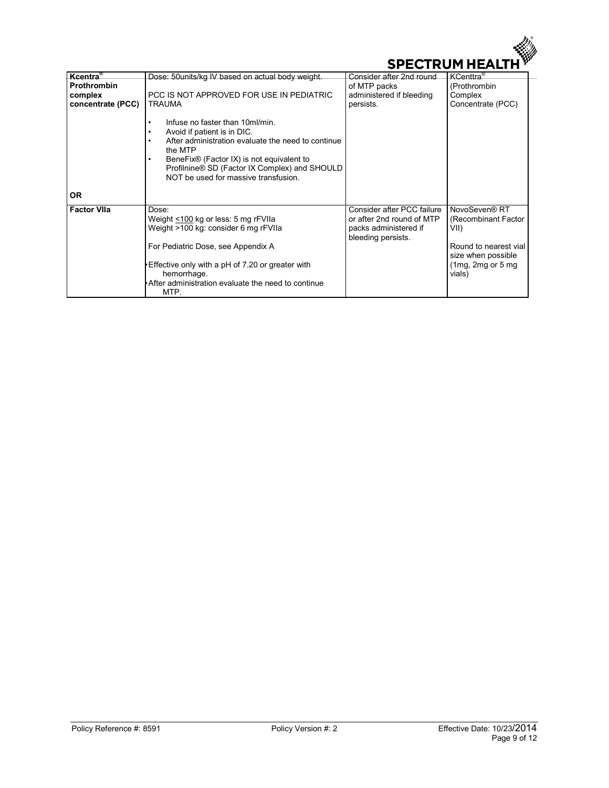

| Kcentra <sup>®</sup> | Dose: 50 units/kg IV based on actual body weight.                                                                                                                                                                                                                               | Consider after 2nd round                                                                               | KCenttra <sup>®</sup>                                                                                                         |
|----------------------|---------------------------------------------------------------------------------------------------------------------------------------------------------------------------------------------------------------------------------------------------------------------------------|--------------------------------------------------------------------------------------------------------|-------------------------------------------------------------------------------------------------------------------------------|
| <b>Prothrombin</b>   |                                                                                                                                                                                                                                                                                 | of MTP packs                                                                                           | (Prothrombin                                                                                                                  |
| complex              | PCC IS NOT APPROVED FOR USE IN PEDIATRIC                                                                                                                                                                                                                                        | administered if bleeding                                                                               | Complex                                                                                                                       |
| concentrate (PCC)    | <b>TRAUMA</b>                                                                                                                                                                                                                                                                   | persists.                                                                                              | Concentrate (PCC)                                                                                                             |
|                      | Infuse no faster than 10ml/min.<br>Avoid if patient is in DIC.<br>٠<br>After administration evaluate the need to continue<br>٠<br>the MTP<br>BeneFix® (Factor IX) is not equivalent to<br>Profilnine® SD (Factor IX Complex) and SHOULD<br>NOT be used for massive transfusion. |                                                                                                        |                                                                                                                               |
| <b>OR</b>            |                                                                                                                                                                                                                                                                                 |                                                                                                        |                                                                                                                               |
| <b>Factor VIIa</b>   | Dose:<br>Weight <100 kg or less: 5 mg rFVIIa<br>Weight >100 kg: consider 6 mg rFVIIa<br>For Pediatric Dose, see Appendix A<br>Effective only with a pH of 7.20 or greater with<br>hemorrhage.<br>After administration evaluate the need to continue<br>MTP.                     | Consider after PCC failure<br>or after 2nd round of MTP<br>packs administered if<br>bleeding persists. | NovoSeven® RT<br>(Recombinant Factor)<br>VII)<br>Round to nearest vial<br>size when possible<br>$(1mg, 2mg$ or 5 mg<br>vials) |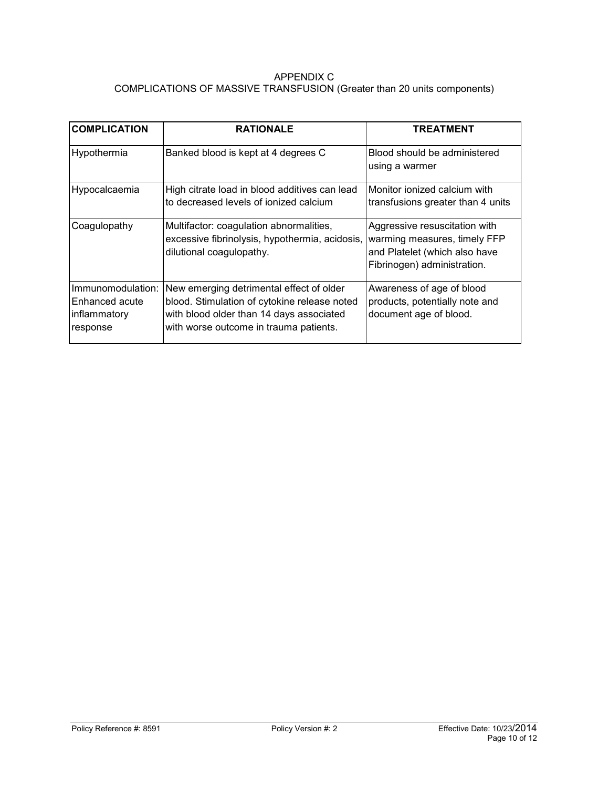## APPENDIX C COMPLICATIONS OF MASSIVE TRANSFUSION (Greater than 20 units components)

| <b>COMPLICATION</b>                                             | <b>RATIONALE</b>                                                                                                                                                               | <b>TREATMENT</b>                                                                                                              |
|-----------------------------------------------------------------|--------------------------------------------------------------------------------------------------------------------------------------------------------------------------------|-------------------------------------------------------------------------------------------------------------------------------|
| Hypothermia                                                     | Banked blood is kept at 4 degrees C                                                                                                                                            | Blood should be administered<br>using a warmer                                                                                |
| Hypocalcaemia                                                   | High citrate load in blood additives can lead<br>to decreased levels of ionized calcium                                                                                        | Monitor ionized calcium with<br>transfusions greater than 4 units                                                             |
| Coagulopathy                                                    | Multifactor: coagulation abnormalities,<br>excessive fibrinolysis, hypothermia, acidosis,<br>dilutional coagulopathy.                                                          | Aggressive resuscitation with<br>warming measures, timely FFP<br>and Platelet (which also have<br>Fibrinogen) administration. |
| Immunomodulation:<br>Enhanced acute<br>inflammatory<br>response | New emerging detrimental effect of older<br>blood. Stimulation of cytokine release noted<br>with blood older than 14 days associated<br>with worse outcome in trauma patients. | Awareness of age of blood<br>products, potentially note and<br>document age of blood.                                         |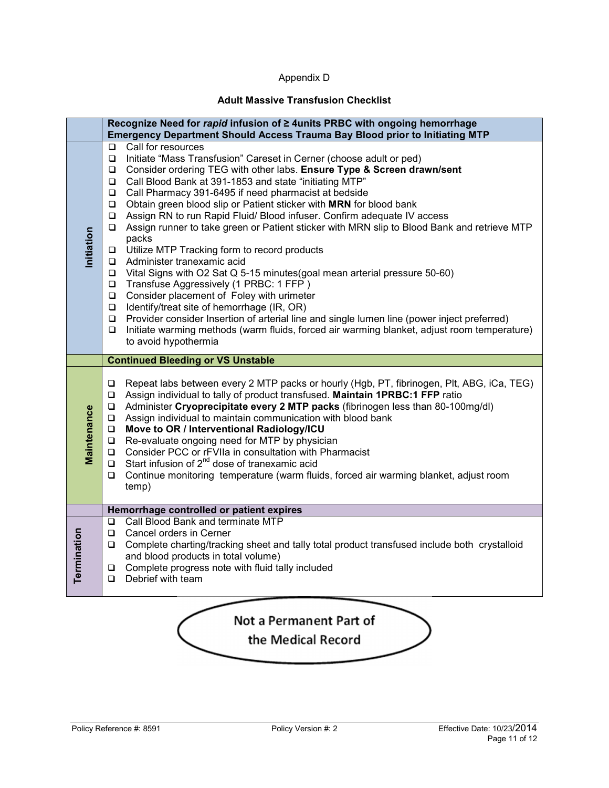## Appendix D

## **Adult Massive Transfusion Checklist**

|             | Recognize Need for rapid infusion of ≥ 4units PRBC with ongoing hemorrhage<br>Emergency Department Should Access Trauma Bay Blood prior to Initiating MTP                                                                                                                                                                                                                                                                                                                                                                                                                                                                                                                                                                                                                                                                                                                                                                                                                                                                                                                                                                                                                                                          |
|-------------|--------------------------------------------------------------------------------------------------------------------------------------------------------------------------------------------------------------------------------------------------------------------------------------------------------------------------------------------------------------------------------------------------------------------------------------------------------------------------------------------------------------------------------------------------------------------------------------------------------------------------------------------------------------------------------------------------------------------------------------------------------------------------------------------------------------------------------------------------------------------------------------------------------------------------------------------------------------------------------------------------------------------------------------------------------------------------------------------------------------------------------------------------------------------------------------------------------------------|
| Initiation  | Call for resources<br>$\Box$<br>$\Box$<br>Initiate "Mass Transfusion" Careset in Cerner (choose adult or ped)<br>Consider ordering TEG with other labs. Ensure Type & Screen drawn/sent<br>$\Box$<br>Call Blood Bank at 391-1853 and state "initiating MTP"<br>O.<br>Call Pharmacy 391-6495 if need pharmacist at bedside<br>$\Box$<br>$\Box$<br>Obtain green blood slip or Patient sticker with MRN for blood bank<br>Assign RN to run Rapid Fluid/ Blood infuser. Confirm adequate IV access<br>$\Box$<br>Assign runner to take green or Patient sticker with MRN slip to Blood Bank and retrieve MTP<br>$\Box$<br>packs<br>Utilize MTP Tracking form to record products<br>$\Box$<br>Administer tranexamic acid<br>Vital Signs with O2 Sat Q 5-15 minutes (goal mean arterial pressure 50-60)<br>□<br>Transfuse Aggressively (1 PRBC: 1 FFP)<br>$\Box$<br>Consider placement of Foley with urimeter<br>$\Box$<br>Identify/treat site of hemorrhage (IR, OR)<br>$\Box$<br>Provider consider Insertion of arterial line and single lumen line (power inject preferred)<br>$\Box$<br>Initiate warming methods (warm fluids, forced air warming blanket, adjust room temperature)<br>$\Box$<br>to avoid hypothermia |
|             | <b>Continued Bleeding or VS Unstable</b>                                                                                                                                                                                                                                                                                                                                                                                                                                                                                                                                                                                                                                                                                                                                                                                                                                                                                                                                                                                                                                                                                                                                                                           |
| Maintenance | Repeat labs between every 2 MTP packs or hourly (Hgb, PT, fibrinogen, Plt, ABG, iCa, TEG)<br>$\Box$<br>Assign individual to tally of product transfused. Maintain 1PRBC:1 FFP ratio<br>❏<br>Administer Cryoprecipitate every 2 MTP packs (fibrinogen less than 80-100mg/dl)<br>$\Box$<br>Assign individual to maintain communication with blood bank<br>$\Box$<br>Move to OR / Interventional Radiology/ICU<br>$\Box$<br>Re-evaluate ongoing need for MTP by physician<br>$\Box$<br>Consider PCC or rFVIIa in consultation with Pharmacist<br>$\Box$<br>Start infusion of 2 <sup>nd</sup> dose of tranexamic acid<br>$\Box$<br>Continue monitoring temperature (warm fluids, forced air warming blanket, adjust room<br>□<br>temp)                                                                                                                                                                                                                                                                                                                                                                                                                                                                                 |
|             | Hemorrhage controlled or patient expires                                                                                                                                                                                                                                                                                                                                                                                                                                                                                                                                                                                                                                                                                                                                                                                                                                                                                                                                                                                                                                                                                                                                                                           |
| Termination | Call Blood Bank and terminate MTP<br><b>□</b><br>Cancel orders in Cerner<br>$\Box$<br>Complete charting/tracking sheet and tally total product transfused include both crystalloid<br>□<br>and blood products in total volume)<br>Complete progress note with fluid tally included<br>O.<br>Debrief with team<br>$\Box$                                                                                                                                                                                                                                                                                                                                                                                                                                                                                                                                                                                                                                                                                                                                                                                                                                                                                            |
|             |                                                                                                                                                                                                                                                                                                                                                                                                                                                                                                                                                                                                                                                                                                                                                                                                                                                                                                                                                                                                                                                                                                                                                                                                                    |